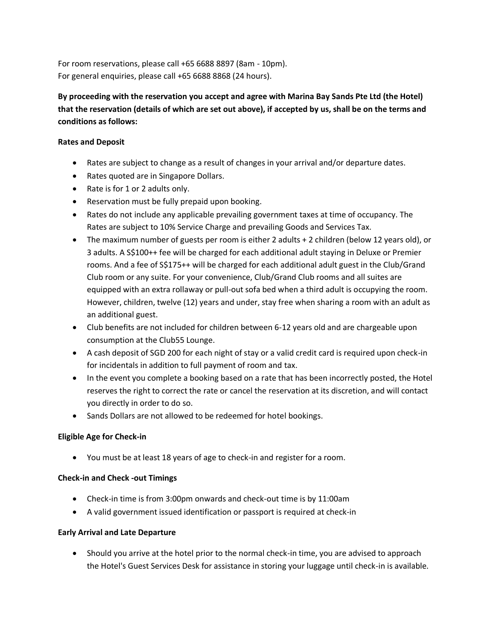For room reservations, please call +65 6688 8897 (8am - 10pm). For general enquiries, please call +65 6688 8868 (24 hours).

**By proceeding with the reservation you accept and agree with Marina Bay Sands Pte Ltd (the Hotel) that the reservation (details of which are set out above), if accepted by us, shall be on the terms and conditions as follows:**

## **Rates and Deposit**

- Rates are subject to change as a result of changes in your arrival and/or departure dates.
- Rates quoted are in Singapore Dollars.
- Rate is for 1 or 2 adults only.
- Reservation must be fully prepaid upon booking.
- Rates do not include any applicable prevailing government taxes at time of occupancy. The Rates are subject to 10% Service Charge and prevailing Goods and Services Tax.
- The maximum number of guests per room is either 2 adults + 2 children (below 12 years old), or 3 adults. A S\$100++ fee will be charged for each additional adult staying in Deluxe or Premier rooms. And a fee of S\$175++ will be charged for each additional adult guest in the Club/Grand Club room or any suite. For your convenience, Club/Grand Club rooms and all suites are equipped with an extra rollaway or pull-out sofa bed when a third adult is occupying the room. However, children, twelve (12) years and under, stay free when sharing a room with an adult as an additional guest.
- Club benefits are not included for children between 6-12 years old and are chargeable upon consumption at the Club55 Lounge.
- A cash deposit of SGD 200 for each night of stay or a valid credit card is required upon check-in for incidentals in addition to full payment of room and tax.
- In the event you complete a booking based on a rate that has been incorrectly posted, the Hotel reserves the right to correct the rate or cancel the reservation at its discretion, and will contact you directly in order to do so.
- Sands Dollars are not allowed to be redeemed for hotel bookings.

### **Eligible Age for Check-in**

You must be at least 18 years of age to check-in and register for a room.

### **Check-in and Check -out Timings**

- Check-in time is from 3:00pm onwards and check-out time is by 11:00am
- A valid government issued identification or passport is required at check-in

### **Early Arrival and Late Departure**

 Should you arrive at the hotel prior to the normal check-in time, you are advised to approach the Hotel's Guest Services Desk for assistance in storing your luggage until check-in is available.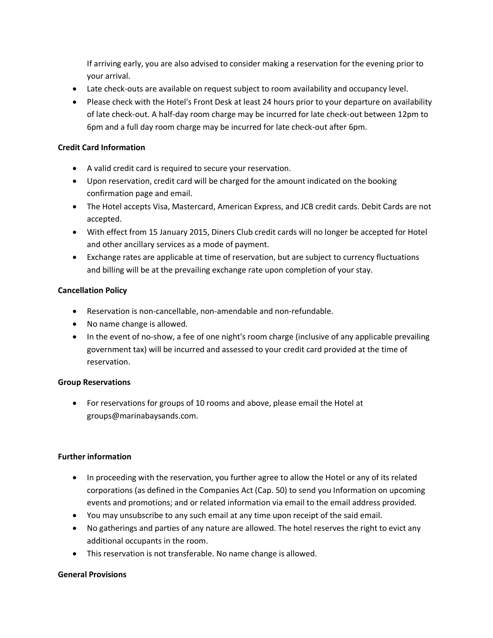If arriving early, you are also advised to consider making a reservation for the evening prior to your arrival.

- Late check-outs are available on request subject to room availability and occupancy level.
- Please check with the Hotel's Front Desk at least 24 hours prior to your departure on availability of late check-out. A half-day room charge may be incurred for late check-out between 12pm to 6pm and a full day room charge may be incurred for late check-out after 6pm.

## **Credit Card Information**

- A valid credit card is required to secure your reservation.
- Upon reservation, credit card will be charged for the amount indicated on the booking confirmation page and email.
- The Hotel accepts Visa, Mastercard, American Express, and JCB credit cards. Debit Cards are not accepted.
- With effect from 15 January 2015, Diners Club credit cards will no longer be accepted for Hotel and other ancillary services as a mode of payment.
- Exchange rates are applicable at time of reservation, but are subject to currency fluctuations and billing will be at the prevailing exchange rate upon completion of your stay.

# **Cancellation Policy**

- Reservation is non-cancellable, non-amendable and non-refundable.
- No name change is allowed.
- In the event of no-show, a fee of one night's room charge (inclusive of any applicable prevailing government tax) will be incurred and assessed to your credit card provided at the time of reservation.

### **Group Reservations**

 For reservations for groups of 10 rooms and above, please email the Hotel at groups@marinabaysands.com.

### **Further information**

- In proceeding with the reservation, you further agree to allow the Hotel or any of its related corporations (as defined in the Companies Act (Cap. 50) to send you Information on upcoming events and promotions; and or related information via email to the email address provided.
- You may unsubscribe to any such email at any time upon receipt of the said email.
- No gatherings and parties of any nature are allowed. The hotel reserves the right to evict any additional occupants in the room.
- This reservation is not transferable. No name change is allowed.

# **General Provisions**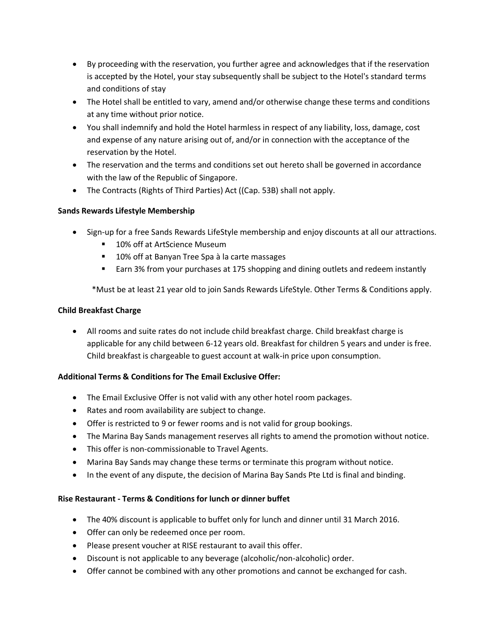- By proceeding with the reservation, you further agree and acknowledges that if the reservation is accepted by the Hotel, your stay subsequently shall be subject to the Hotel's standard terms and conditions of stay
- The Hotel shall be entitled to vary, amend and/or otherwise change these terms and conditions at any time without prior notice.
- You shall indemnify and hold the Hotel harmless in respect of any liability, loss, damage, cost and expense of any nature arising out of, and/or in connection with the acceptance of the reservation by the Hotel.
- The reservation and the terms and conditions set out hereto shall be governed in accordance with the law of the Republic of Singapore.
- The Contracts (Rights of Third Parties) Act ((Cap. 53B) shall not apply.

# **Sands Rewards Lifestyle Membership**

- Sign-up for a free Sands Rewards LifeStyle membership and enjoy discounts at all our attractions.
	- 10% off at ArtScience Museum
	- **10% off at Banyan Tree Spa à la carte massages**
	- Earn 3% from your purchases at 175 shopping and dining outlets and redeem instantly

\*Must be at least 21 year old to join Sands Rewards LifeStyle. Other Terms & Conditions apply.

# **Child Breakfast Charge**

 All rooms and suite rates do not include child breakfast charge. Child breakfast charge is applicable for any child between 6-12 years old. Breakfast for children 5 years and under is free. Child breakfast is chargeable to guest account at walk-in price upon consumption.

# **Additional Terms & Conditions for The Email Exclusive Offer:**

- The Email Exclusive Offer is not valid with any other hotel room packages.
- Rates and room availability are subject to change.
- Offer is restricted to 9 or fewer rooms and is not valid for group bookings.
- The Marina Bay Sands management reserves all rights to amend the promotion without notice.
- This offer is non-commissionable to Travel Agents.
- Marina Bay Sands may change these terms or terminate this program without notice.
- In the event of any dispute, the decision of Marina Bay Sands Pte Ltd is final and binding.

# **Rise Restaurant - Terms & Conditions for lunch or dinner buffet**

- The 40% discount is applicable to buffet only for lunch and dinner until 31 March 2016.
- Offer can only be redeemed once per room.
- Please present voucher at RISE restaurant to avail this offer.
- Discount is not applicable to any beverage (alcoholic/non-alcoholic) order.
- Offer cannot be combined with any other promotions and cannot be exchanged for cash.